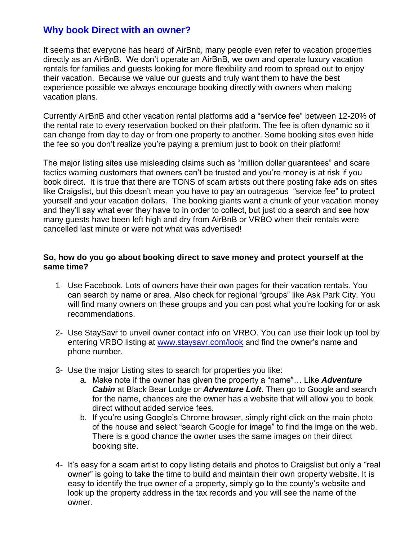## **Why book Direct with an owner?**

It seems that everyone has heard of AirBnb, many people even refer to vacation properties directly as an AirBnB. We don't operate an AirBnB, we own and operate luxury vacation rentals for families and guests looking for more flexibility and room to spread out to enjoy their vacation. Because we value our guests and truly want them to have the best experience possible we always encourage booking directly with owners when making vacation plans.

Currently AirBnB and other vacation rental platforms add a "service fee" between 12-20% of the rental rate to every reservation booked on their platform. The fee is often dynamic so it can change from day to day or from one property to another. Some booking sites even hide the fee so you don't realize you're paying a premium just to book on their platform!

The major listing sites use misleading claims such as "million dollar guarantees" and scare tactics warning customers that owners can't be trusted and you're money is at risk if you book direct. It is true that there are TONS of scam artists out there posting fake ads on sites like Craigslist, but this doesn't mean you have to pay an outrageous "service fee" to protect yourself and your vacation dollars. The booking giants want a chunk of your vacation money and they'll say what ever they have to in order to collect, but just do a search and see how many guests have been left high and dry from AirBnB or VRBO when their rentals were cancelled last minute or were not what was advertised!

## **So, how do you go about booking direct to save money and protect yourself at the same time?**

- 1- Use Facebook. Lots of owners have their own pages for their vacation rentals. You can search by name or area. Also check for regional "groups" like Ask Park City. You will find many owners on these groups and you can post what you're looking for or ask recommendations.
- 2- Use StaySavr to unveil owner contact info on VRBO. You can use their look up tool by entering VRBO listing at [www.staysavr.com/look](http://www.staysavr.com/look) and find the owner's name and phone number.
- 3- Use the major Listing sites to search for properties you like:
	- a. Make note if the owner has given the property a "name"… Like *Adventure Cabin* at Black Bear Lodge or *Adventure Loft*. Then go to Google and search for the name, chances are the owner has a website that will allow you to book direct without added service fees.
	- b. If you're using Google's Chrome browser, simply right click on the main photo of the house and select "search Google for image" to find the imge on the web. There is a good chance the owner uses the same images on their direct booking site.
- 4- It's easy for a scam artist to copy listing details and photos to Craigslist but only a "real owner" is going to take the time to build and maintain their own property website. It is easy to identify the true owner of a property, simply go to the county's website and look up the property address in the tax records and you will see the name of the owner.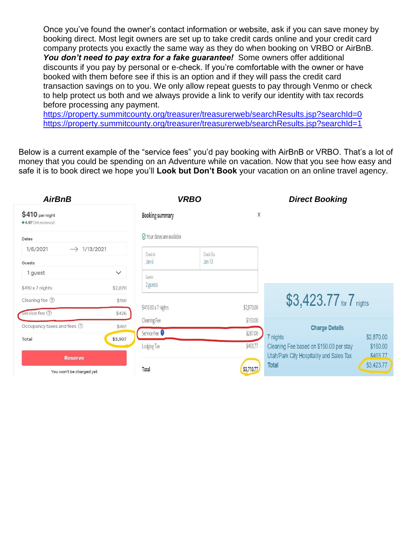Once you've found the owner's contact information or website, ask if you can save money by booking direct. Most legit owners are set up to take credit cards online and your credit card company protects you exactly the same way as they do when booking on VRBO or AirBnB. You don't need to pay extra for a fake guarantee! Some owners offer additional discounts if you pay by personal or e-check. If you're comfortable with the owner or have booked with them before see if this is an option and if they will pass the credit card transaction savings on to you. We only allow repeat guests to pay through Venmo or check to help protect us both and we always provide a link to verify our identity with tax records before processing any payment.

<https://property.summitcounty.org/treasurer/treasurerweb/searchResults.jsp?searchId=0> <https://property.summitcounty.org/treasurer/treasurerweb/searchResults.jsp?searchId=1>

Below is a current example of the "service fees" you'd pay booking with AirBnB or VRBO. That's a lot of money that you could be spending on an Adventure while on vacation. Now that you see how easy and safe it is to book direct we hope you'll **Look but Don't Book** your vacation on an online travel agency.

| <b>AirBnB</b>                                |              | <b>VRBO</b>                |                   |            | <b>Direct Booking</b>                                                      |
|----------------------------------------------|--------------|----------------------------|-------------------|------------|----------------------------------------------------------------------------|
| \$410 per night<br>$\star$ 4.97 (34 reviews) |              | <b>Booking summary</b>     |                   | X          |                                                                            |
| Dates                                        |              | ⊙ Your dates are available |                   |            |                                                                            |
| 1/13/2021<br>1/6/2021<br>$\rightarrow$       |              | Check In                   | Check Out         |            |                                                                            |
| Guests                                       |              | Jan <sub>6</sub>           | Jan <sub>13</sub> |            |                                                                            |
| 1 guest                                      | $\checkmark$ | Guests                     |                   |            |                                                                            |
| $$410 \times 7$ nights                       | \$2,870      | 2 guests                   |                   |            |                                                                            |
| Cleaning fee 2                               | \$150        |                            |                   |            | \$3,423.77 for 7 nights                                                    |
| Service fee ②                                | \$426        | \$410.00 x 7 nights        |                   | \$2,870.00 |                                                                            |
| Occupancy taxes and fees 2                   | \$461        | Cleaning Fee               |                   | \$150.00   | <b>Charge Details</b>                                                      |
| Total                                        | \$3,907      | Service Fee                |                   | \$287.00   | 7 nights<br>\$2,870.00                                                     |
|                                              |              | Lodging Tax                |                   | \$403.77   | \$150.00<br>Cleaning Fee based on \$150.00 per stay                        |
| <b>Reserve</b>                               |              |                            |                   |            | Utah/Park City Hospitality and Sales Tax<br>\$40377<br>\$3,423.77<br>Total |
| You won't be charged yet                     |              | Total                      |                   | \$3,710.77 |                                                                            |